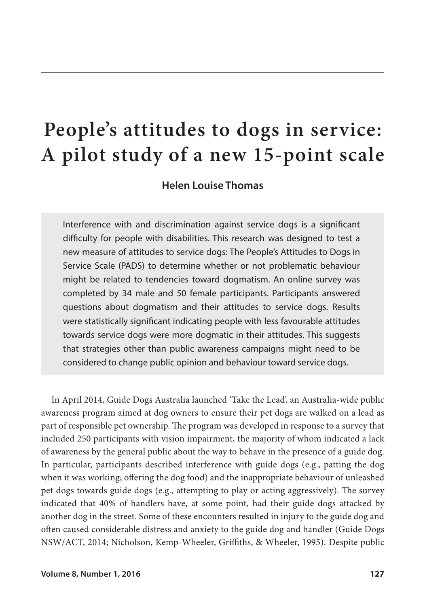# **People's attitudes to dogs in service: A pilot study of a new 15-point scale**

**Helen Louise Thomas**

Interference with and discrimination against service dogs is a significant difficulty for people with disabilities. This research was designed to test a new measure of attitudes to service dogs: The People's Attitudes to Dogs in Service Scale (PADS) to determine whether or not problematic behaviour might be related to tendencies toward dogmatism. An online survey was completed by 34 male and 50 female participants. Participants answered questions about dogmatism and their attitudes to service dogs. Results were statistically significant indicating people with less favourable attitudes towards service dogs were more dogmatic in their attitudes. This suggests that strategies other than public awareness campaigns might need to be considered to change public opinion and behaviour toward service dogs.

In April 2014, Guide Dogs Australia launched 'Take the Lead', an Australia-wide public awareness program aimed at dog owners to ensure their pet dogs are walked on a lead as part of responsible pet ownership. The program was developed in response to a survey that included 250 participants with vision impairment, the majority of whom indicated a lack of awareness by the general public about the way to behave in the presence of a guide dog. In particular, participants described interference with guide dogs (e.g., patting the dog when it was working; offering the dog food) and the inappropriate behaviour of unleashed pet dogs towards guide dogs (e.g., attempting to play or acting aggressively). The survey indicated that 40% of handlers have, at some point, had their guide dogs attacked by another dog in the street. Some of these encounters resulted in injury to the guide dog and often caused considerable distress and anxiety to the guide dog and handler (Guide Dogs NSW/ACT, 2014; Nicholson, Kemp-Wheeler, Griffiths, & Wheeler, 1995). Despite public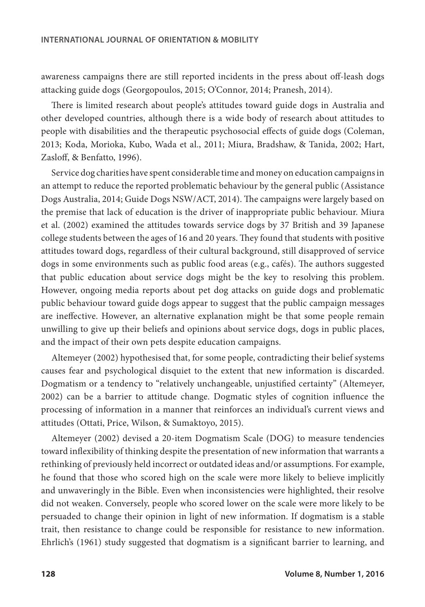awareness campaigns there are still reported incidents in the press about off-leash dogs attacking guide dogs (Georgopoulos, 2015; O'Connor, 2014; Pranesh, 2014).

There is limited research about people's attitudes toward guide dogs in Australia and other developed countries, although there is a wide body of research about attitudes to people with disabilities and the therapeutic psychosocial effects of guide dogs (Coleman, 2013; Koda, Morioka, Kubo, Wada et al., 2011; Miura, Bradshaw, & Tanida, 2002; Hart, Zasloff, & Benfatto, 1996).

Service dog charities have spent considerable time and money on education campaigns in an attempt to reduce the reported problematic behaviour by the general public (Assistance Dogs Australia, 2014; Guide Dogs NSW/ACT, 2014). The campaigns were largely based on the premise that lack of education is the driver of inappropriate public behaviour. Miura et al. (2002) examined the attitudes towards service dogs by 37 British and 39 Japanese college students between the ages of 16 and 20 years. They found that students with positive attitudes toward dogs, regardless of their cultural background, still disapproved of service dogs in some environments such as public food areas (e.g., cafés). The authors suggested that public education about service dogs might be the key to resolving this problem. However, ongoing media reports about pet dog attacks on guide dogs and problematic public behaviour toward guide dogs appear to suggest that the public campaign messages are ineffective. However, an alternative explanation might be that some people remain unwilling to give up their beliefs and opinions about service dogs, dogs in public places, and the impact of their own pets despite education campaigns.

Altemeyer (2002) hypothesised that, for some people, contradicting their belief systems causes fear and psychological disquiet to the extent that new information is discarded. Dogmatism or a tendency to "relatively unchangeable, unjustified certainty" (Altemeyer, 2002) can be a barrier to attitude change. Dogmatic styles of cognition influence the processing of information in a manner that reinforces an individual's current views and attitudes (Ottati, Price, Wilson, & Sumaktoyo, 2015).

Altemeyer (2002) devised a 20-item Dogmatism Scale (DOG) to measure tendencies toward inflexibility of thinking despite the presentation of new information that warrants a rethinking of previously held incorrect or outdated ideas and/or assumptions. For example, he found that those who scored high on the scale were more likely to believe implicitly and unwaveringly in the Bible. Even when inconsistencies were highlighted, their resolve did not weaken. Conversely, people who scored lower on the scale were more likely to be persuaded to change their opinion in light of new information. If dogmatism is a stable trait, then resistance to change could be responsible for resistance to new information. Ehrlich's (1961) study suggested that dogmatism is a significant barrier to learning, and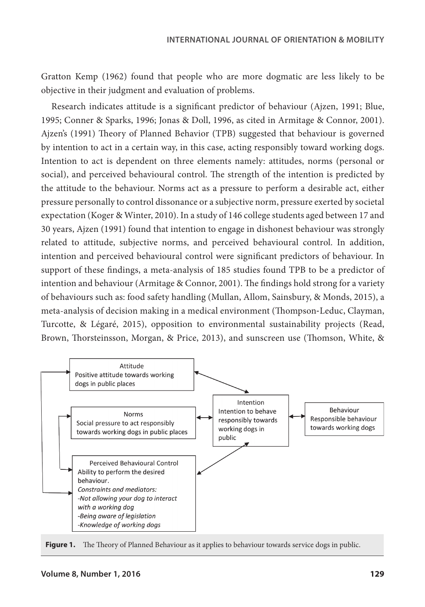Gratton Kemp (1962) found that people who are more dogmatic are less likely to be objective in their judgment and evaluation of problems.

Research indicates attitude is a significant predictor of behaviour (Ajzen, 1991; Blue, 1995; Conner & Sparks, 1996; Jonas & Doll, 1996, as cited in Armitage & Connor, 2001). Ajzen's (1991) Theory of Planned Behavior (TPB) suggested that behaviour is governed by intention to act in a certain way, in this case, acting responsibly toward working dogs. Intention to act is dependent on three elements namely: attitudes, norms (personal or social), and perceived behavioural control. The strength of the intention is predicted by the attitude to the behaviour. Norms act as a pressure to perform a desirable act, either pressure personally to control dissonance or a subjective norm, pressure exerted by societal expectation (Koger & Winter, 2010). In a study of 146 college students aged between 17 and 30 years, Ajzen (1991) found that intention to engage in dishonest behaviour was strongly related to attitude, subjective norms, and perceived behavioural control. In addition, intention and perceived behavioural control were significant predictors of behaviour. In support of these findings, a meta-analysis of 185 studies found TPB to be a predictor of intention and behaviour (Armitage & Connor, 2001). The findings hold strong for a variety of behaviours such as: food safety handling (Mullan, Allom, Sainsbury, & Monds, 2015), a meta-analysis of decision making in a medical environment (Thompson‐Leduc, Clayman, Turcotte, & Légaré, 2015), opposition to environmental sustainability projects (Read, Brown, Thorsteinsson, Morgan, & Price, 2013), and sunscreen use (Thomson, White, &



Figure 1. The Theory of Planned Behaviour as it applies to behaviour towards service dogs in public.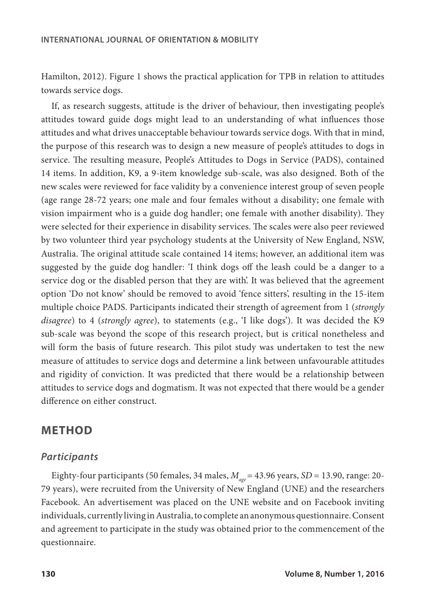Hamilton, 2012). Figure 1 shows the practical application for TPB in relation to attitudes towards service dogs.

If, as research suggests, attitude is the driver of behaviour, then investigating people's attitudes toward guide dogs might lead to an understanding of what influences those attitudes and what drives unacceptable behaviour towards service dogs. With that in mind, the purpose of this research was to design a new measure of people's attitudes to dogs in service. The resulting measure, People's Attitudes to Dogs in Service (PADS), contained 14 items. In addition, K9, a 9-item knowledge sub-scale, was also designed. Both of the new scales were reviewed for face validity by a convenience interest group of seven people (age range 28-72 years; one male and four females without a disability; one female with vision impairment who is a guide dog handler; one female with another disability). They were selected for their experience in disability services. The scales were also peer reviewed by two volunteer third year psychology students at the University of New England, NSW, Australia. The original attitude scale contained 14 items; however, an additional item was suggested by the guide dog handler: 'I think dogs off the leash could be a danger to a service dog or the disabled person that they are with'. It was believed that the agreement option 'Do not know' should be removed to avoid 'fence sitters', resulting in the 15-item multiple choice PADS. Participants indicated their strength of agreement from 1 (*strongly disagree*) to 4 (*strongly agree*), to statements (e.g., 'I like dogs'). It was decided the K9 sub-scale was beyond the scope of this research project, but is critical nonetheless and will form the basis of future research. This pilot study was undertaken to test the new measure of attitudes to service dogs and determine a link between unfavourable attitudes and rigidity of conviction. It was predicted that there would be a relationship between attitudes to service dogs and dogmatism. It was not expected that there would be a gender difference on either construct.

# **METHOD**

## *Participants*

Eighty-four participants (50 females, 34 males, *M age*= 43.96 years, *SD* = 13.90, range: 20- 79 years), were recruited from the University of New England (UNE) and the researchers Facebook. An advertisement was placed on the UNE website and on Facebook inviting individuals, currently living in Australia, to complete an anonymous questionnaire. Consent and agreement to participate in the study was obtained prior to the commencement of the questionnaire.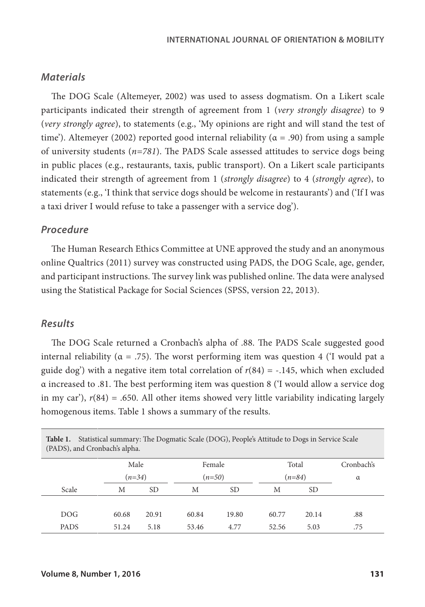## *Materials*

The DOG Scale (Altemeyer, 2002) was used to assess dogmatism. On a Likert scale participants indicated their strength of agreement from 1 (*very strongly disagree*) to 9 (*very strongly agree*), to statements (e.g., 'My opinions are right and will stand the test of time'). Altemeyer (2002) reported good internal reliability ( $\alpha$  = .90) from using a sample of university students (*n=781*). The PADS Scale assessed attitudes to service dogs being in public places (e.g., restaurants, taxis, public transport). On a Likert scale participants indicated their strength of agreement from 1 (*strongly disagree*) to 4 (*strongly agree*), to statements (e.g., 'I think that service dogs should be welcome in restaurants') and ('If I was a taxi driver I would refuse to take a passenger with a service dog').

#### *Procedure*

The Human Research Ethics Committee at UNE approved the study and an anonymous online Qualtrics (2011) survey was constructed using PADS, the DOG Scale, age, gender, and participant instructions. The survey link was published online. The data were analysed using the Statistical Package for Social Sciences (SPSS, version 22, 2013).

# *Results*

The DOG Scale returned a Cronbach's alpha of .88. The PADS Scale suggested good internal reliability ( $\alpha = .75$ ). The worst performing item was question 4 (T would pat a guide dog') with a negative item total correlation of  $r(84) = -.145$ , which when excluded α increased to .81. The best performing item was question 8 ('I would allow a service dog in my car'), *r*(84) = .650. All other items showed very little variability indicating largely homogenous items. Table 1 shows a summary of the results.

| Statistical summary: The Dogmatic Scale (DOG), People's Attitude to Dogs in Service Scale<br>Table 1.<br>(PADS), and Cronbach's alpha. |          |       |          |       |          |                 |            |
|----------------------------------------------------------------------------------------------------------------------------------------|----------|-------|----------|-------|----------|-----------------|------------|
|                                                                                                                                        | Male     |       | Female   |       | Total    |                 | Cronbach's |
|                                                                                                                                        | $(n=34)$ |       | $(n=50)$ |       | $(n=84)$ |                 | $\alpha$   |
| Scale                                                                                                                                  | M        | SD.   | M        | SD    | M        | SD <sub>1</sub> |            |
|                                                                                                                                        |          |       |          |       |          |                 |            |
| DOG.                                                                                                                                   | 60.68    | 20.91 | 60.84    | 19.80 | 60.77    | 20.14           | .88        |
| <b>PADS</b>                                                                                                                            | 51.24    | 5.18  | 53.46    | 4.77  | 52.56    | 5.03            | .75        |

**Table 1.** Statistical summary: The Dogmatic Scale (DOG), People's Attitude to Dogs in Service Scale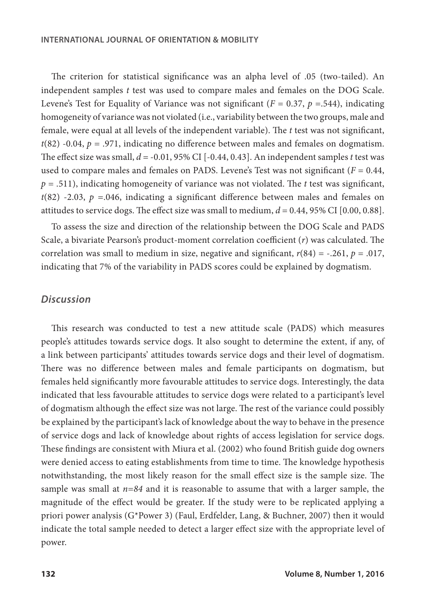The criterion for statistical significance was an alpha level of .05 (two-tailed). An independent samples *t* test was used to compare males and females on the DOG Scale. Levene's Test for Equality of Variance was not significant ( $F = 0.37$ ,  $p = .544$ ), indicating homogeneity of variance was not violated (i.e., variability between the two groups, male and female, were equal at all levels of the independent variable). The *t* test was not significant,  $t(82)$  -0.04,  $p = 0.971$ , indicating no difference between males and females on dogmatism. The effect size was small, *d* = -0.01, 95% CI [-0.44, 0.43]. An independent samples *t* test was used to compare males and females on PADS. Levene's Test was not significant ( $F = 0.44$ , *p* = .511), indicating homogeneity of variance was not violated. The *t* test was significant,  $t(82)$  -2.03,  $p = 0.046$ , indicating a significant difference between males and females on attitudes to service dogs. The effect size was small to medium,  $d = 0.44$ , 95% CI [0.00, 0.88].

To assess the size and direction of the relationship between the DOG Scale and PADS Scale, a bivariate Pearson's product-moment correlation coefficient (*r*) was calculated. The correlation was small to medium in size, negative and significant,  $r(84) = -.261$ ,  $p = .017$ , indicating that 7% of the variability in PADS scores could be explained by dogmatism.

# *Discussion*

This research was conducted to test a new attitude scale (PADS) which measures people's attitudes towards service dogs. It also sought to determine the extent, if any, of a link between participants' attitudes towards service dogs and their level of dogmatism. There was no difference between males and female participants on dogmatism, but females held significantly more favourable attitudes to service dogs. Interestingly, the data indicated that less favourable attitudes to service dogs were related to a participant's level of dogmatism although the effect size was not large. The rest of the variance could possibly be explained by the participant's lack of knowledge about the way to behave in the presence of service dogs and lack of knowledge about rights of access legislation for service dogs. These findings are consistent with Miura et al. (2002) who found British guide dog owners were denied access to eating establishments from time to time. The knowledge hypothesis notwithstanding, the most likely reason for the small effect size is the sample size. The sample was small at *n=84* and it is reasonable to assume that with a larger sample, the magnitude of the effect would be greater. If the study were to be replicated applying a priori power analysis (G\*Power 3) (Faul, Erdfelder, Lang, & Buchner, 2007) then it would indicate the total sample needed to detect a larger effect size with the appropriate level of power.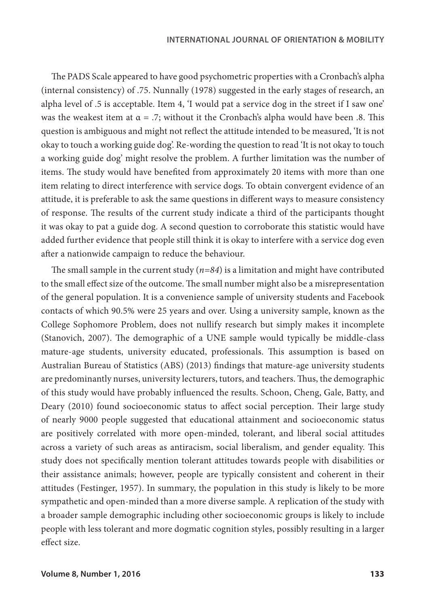The PADS Scale appeared to have good psychometric properties with a Cronbach's alpha (internal consistency) of .75. Nunnally (1978) suggested in the early stages of research, an alpha level of .5 is acceptable. Item 4, 'I would pat a service dog in the street if I saw one' was the weakest item at  $\alpha = .7$ ; without it the Cronbach's alpha would have been .8. This question is ambiguous and might not reflect the attitude intended to be measured, 'It is not okay to touch a working guide dog'. Re-wording the question to read 'It is not okay to touch a working guide dog' might resolve the problem. A further limitation was the number of items. The study would have benefited from approximately 20 items with more than one item relating to direct interference with service dogs. To obtain convergent evidence of an attitude, it is preferable to ask the same questions in different ways to measure consistency of response. The results of the current study indicate a third of the participants thought it was okay to pat a guide dog. A second question to corroborate this statistic would have added further evidence that people still think it is okay to interfere with a service dog even after a nationwide campaign to reduce the behaviour.

The small sample in the current study (*n=84*) is a limitation and might have contributed to the small effect size of the outcome. The small number might also be a misrepresentation of the general population. It is a convenience sample of university students and Facebook contacts of which 90.5% were 25 years and over. Using a university sample, known as the College Sophomore Problem, does not nullify research but simply makes it incomplete (Stanovich, 2007). The demographic of a UNE sample would typically be middle-class mature-age students, university educated, professionals. This assumption is based on Australian Bureau of Statistics (ABS) (2013) findings that mature-age university students are predominantly nurses, university lecturers, tutors, and teachers. Thus, the demographic of this study would have probably influenced the results. Schoon, Cheng, Gale, Batty, and Deary (2010) found socioeconomic status to affect social perception. Their large study of nearly 9000 people suggested that educational attainment and socioeconomic status are positively correlated with more open-minded, tolerant, and liberal social attitudes across a variety of such areas as antiracism, social liberalism, and gender equality. This study does not specifically mention tolerant attitudes towards people with disabilities or their assistance animals; however, people are typically consistent and coherent in their attitudes (Festinger, 1957). In summary, the population in this study is likely to be more sympathetic and open-minded than a more diverse sample. A replication of the study with a broader sample demographic including other socioeconomic groups is likely to include people with less tolerant and more dogmatic cognition styles, possibly resulting in a larger effect size.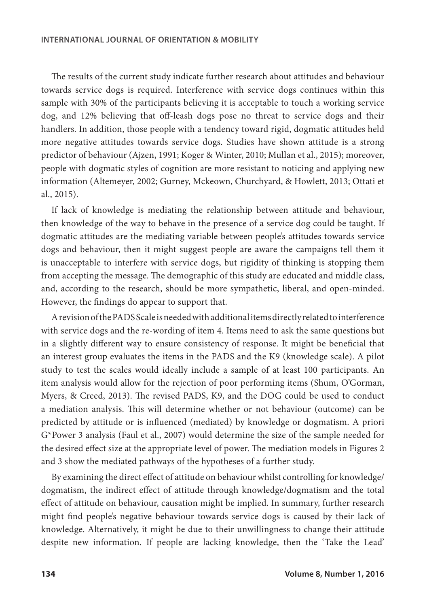The results of the current study indicate further research about attitudes and behaviour towards service dogs is required. Interference with service dogs continues within this sample with 30% of the participants believing it is acceptable to touch a working service dog, and 12% believing that off-leash dogs pose no threat to service dogs and their handlers. In addition, those people with a tendency toward rigid, dogmatic attitudes held more negative attitudes towards service dogs. Studies have shown attitude is a strong predictor of behaviour (Ajzen, 1991; Koger & Winter, 2010; Mullan et al., 2015); moreover, people with dogmatic styles of cognition are more resistant to noticing and applying new information (Altemeyer, 2002; Gurney, Mckeown, Churchyard, & Howlett, 2013; Ottati et al., 2015).

If lack of knowledge is mediating the relationship between attitude and behaviour, then knowledge of the way to behave in the presence of a service dog could be taught. If dogmatic attitudes are the mediating variable between people's attitudes towards service dogs and behaviour, then it might suggest people are aware the campaigns tell them it is unacceptable to interfere with service dogs, but rigidity of thinking is stopping them from accepting the message. The demographic of this study are educated and middle class, and, according to the research, should be more sympathetic, liberal, and open-minded. However, the findings do appear to support that.

A revision of the PADS Scale is needed with additional items directly related to interference with service dogs and the re-wording of item 4. Items need to ask the same questions but in a slightly different way to ensure consistency of response. It might be beneficial that an interest group evaluates the items in the PADS and the K9 (knowledge scale). A pilot study to test the scales would ideally include a sample of at least 100 participants. An item analysis would allow for the rejection of poor performing items (Shum, O'Gorman, Myers, & Creed, 2013). The revised PADS, K9, and the DOG could be used to conduct a mediation analysis. This will determine whether or not behaviour (outcome) can be predicted by attitude or is influenced (mediated) by knowledge or dogmatism. A priori G\*Power 3 analysis (Faul et al., 2007) would determine the size of the sample needed for the desired effect size at the appropriate level of power. The mediation models in Figures 2 and 3 show the mediated pathways of the hypotheses of a further study.

By examining the direct effect of attitude on behaviour whilst controlling for knowledge/ dogmatism, the indirect effect of attitude through knowledge/dogmatism and the total effect of attitude on behaviour, causation might be implied. In summary, further research might find people's negative behaviour towards service dogs is caused by their lack of knowledge. Alternatively, it might be due to their unwillingness to change their attitude despite new information. If people are lacking knowledge, then the 'Take the Lead'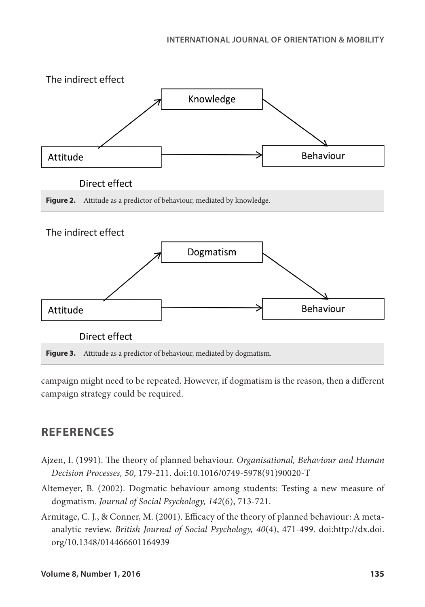

campaign might need to be repeated. However, if dogmatism is the reason, then a different campaign strategy could be required.

# **REFERENCES**

- Ajzen, I. (1991). The theory of planned behaviour. *Organisational, Behaviour and Human Decision Processes, 50*, 179-211. doi:10.1016/0749-5978(91)90020-T
- Altemeyer, B. (2002). Dogmatic behaviour among students: Testing a new measure of dogmatism. *Journal of Social Psychology, 142*(6), 713-721.
- Armitage, C. J., & Conner, M. (2001). Efficacy of the theory of planned behaviour: A metaanalytic review. *British Journal of Social Psychology, 40*(4), 471-499. doi:http://dx.doi. org/10.1348/014466601164939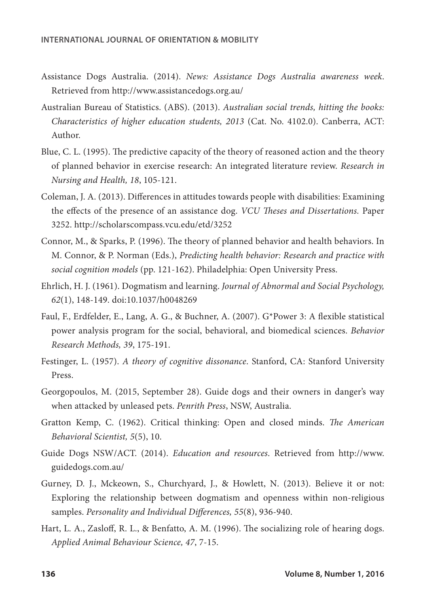- Assistance Dogs Australia. (2014). *News: Assistance Dogs Australia awareness week*. Retrieved from http://www.assistancedogs.org.au/
- Australian Bureau of Statistics. (ABS). (2013). *Australian social trends, hitting the books: Characteristics of higher education students, 2013* (Cat. No. 4102.0). Canberra, ACT: Author.
- Blue, C. L. (1995). The predictive capacity of the theory of reasoned action and the theory of planned behavior in exercise research: An integrated literature review. *Research in Nursing and Health, 18*, 105-121.
- Coleman, J. A. (2013). Differences in attitudes towards people with disabilities: Examining the effects of the presence of an assistance dog. *VCU Theses and Dissertations.* Paper 3252. http://scholarscompass.vcu.edu/etd/3252
- Connor, M., & Sparks, P. (1996). The theory of planned behavior and health behaviors. In M. Connor, & P. Norman (Eds.), *Predicting health behavior: Research and practice with social cognition models* (pp. 121-162). Philadelphia: Open University Press.
- Ehrlich, H. J. (1961). Dogmatism and learning. *Journal of Abnormal and Social Psychology, 62*(1), 148-149. doi:10.1037/h0048269
- Faul, F., Erdfelder, E., Lang, A. G., & Buchner, A. (2007). G\*Power 3: A flexible statistical power analysis program for the social, behavioral, and biomedical sciences. *Behavior Research Methods, 39*, 175-191.
- Festinger, L. (1957). *A theory of cognitive dissonance*. Stanford, CA: Stanford University Press.
- Georgopoulos, M. (2015, September 28). Guide dogs and their owners in danger's way when attacked by unleased pets. *Penrith Press*, NSW, Australia.
- Gratton Kemp, C. (1962). Critical thinking: Open and closed minds. *The American Behavioral Scientist, 5*(5), 10.
- Guide Dogs NSW/ACT. (2014). *Education and resources*. Retrieved from http://www. guidedogs.com.au/
- Gurney, D. J., Mckeown, S., Churchyard, J., & Howlett, N. (2013). Believe it or not: Exploring the relationship between dogmatism and openness within non-religious samples. *Personality and Individual Differences, 55*(8), 936-940.
- Hart, L. A., Zasloff, R. L., & Benfatto, A. M. (1996). The socializing role of hearing dogs. *Applied Animal Behaviour Science, 47*, 7-15.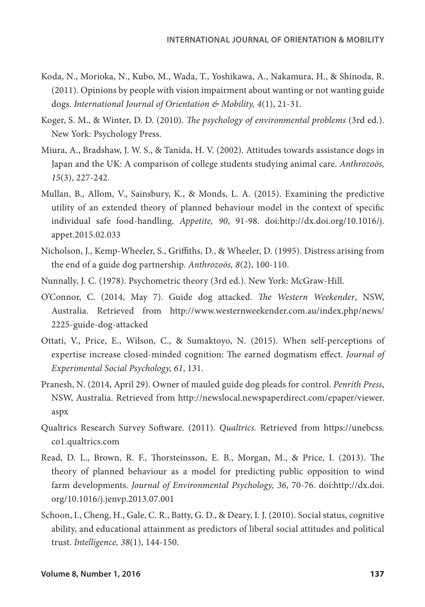- Koda, N., Morioka, N., Kubo, M., Wada, T., Yoshikawa, A., Nakamura, H., & Shinoda, R. (2011). Opinions by people with vision impairment about wanting or not wanting guide dogs. *International Journal of Orientation & Mobility, 4*(1), 21-31.
- Koger, S. M., & Winter, D. D. (2010). *The psychology of environmental problems* (3rd ed.). New York: Psychology Press.
- Miura, A., Bradshaw, J. W. S., & Tanida, H. V. (2002). Attitudes towards assistance dogs in Japan and the UK: A comparison of college students studying animal care. *Anthrozoös, 15*(3), 227-242.
- Mullan, B., Allom, V., Sainsbury, K., & Monds, L. A. (2015). Examining the predictive utility of an extended theory of planned behaviour model in the context of specific individual safe food-handling. *Appetite, 90*, 91-98. doi:http://dx.doi.org/10.1016/j. appet.2015.02.033
- Nicholson, J., Kemp-Wheeler, S., Griffiths, D., & Wheeler, D. (1995). Distress arising from the end of a guide dog partnership. *Anthrozoös, 8*(2), 100-110.
- Nunnally, J. C. (1978). Psychometric theory (3rd ed.). New York: McGraw-Hill.
- O'Connor, C. (2014, May 7). Guide dog attacked. *The Western Weekender*, NSW, Australia. Retrieved from http://www.westernweekender.com.au/index.php/news/ 2225-guide-dog-attacked
- Ottati, V., Price, E., Wilson, C., & Sumaktoyo, N. (2015). When self-perceptions of expertise increase closed-minded cognition: The earned dogmatism effect. *Journal of Experimental Social Psychology, 61*, 131.
- Pranesh, N. (2014, April 29). Owner of mauled guide dog pleads for control. *Penrith Press*, NSW, Australia. Retrieved from http://newslocal.newspaperdirect.com/epaper/viewer. aspx
- Qualtrics Research Survey Software. (2011). *Qualtrics.* Retrieved from https://unebcss. co1.qualtrics.com
- Read, D. L., Brown, R. F., Thorsteinsson, E. B., Morgan, M., & Price, I. (2013). The theory of planned behaviour as a model for predicting public opposition to wind farm developments. *Journal of Environmental Psychology, 36*, 70-76. doi:http://dx.doi. org/10.1016/j.jenvp.2013.07.001
- Schoon, I., Cheng, H., Gale, C. R., Batty, G. D., & Deary, I. J. (2010). Social status, cognitive ability, and educational attainment as predictors of liberal social attitudes and political trust. *Intelligence, 38*(1), 144-150.